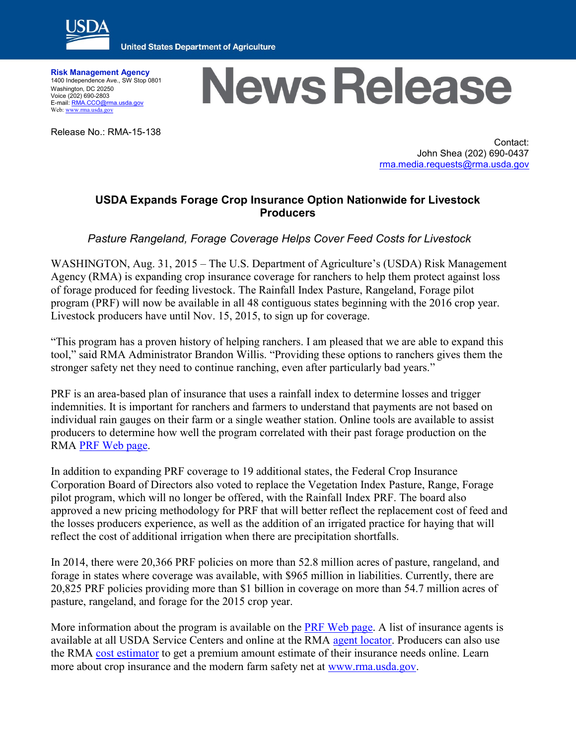

**United States Department of Agriculture** 

**Risk Management Agency** 1400 Independence Ave., SW Stop 0801 Washington, DC 20250 Voice (202) 690-2803 E-mail[: RMA.CCO@rma.usda.gov](mailto:RMA.CCO@rma.usda.gov) Web[: www.rma.usda.gov](http://www.rma.usda.gov/)

Release No.: RMA-15-138

## **News Release**

Contact: John Shea (202) 690-0437 [rma.media.requests@rma.usda.gov](mailto:rma.media.requests@rma.usda.gov)

## **USDA Expands Forage Crop Insurance Option Nationwide for Livestock Producers**

*Pasture Rangeland, Forage Coverage Helps Cover Feed Costs for Livestock*

WASHINGTON, Aug. 31, 2015 – The U.S. Department of Agriculture's (USDA) Risk Management Agency (RMA) is expanding crop insurance coverage for ranchers to help them protect against loss of forage produced for feeding livestock. The Rainfall Index Pasture, Rangeland, Forage pilot program (PRF) will now be available in all 48 contiguous states beginning with the 2016 crop year. Livestock producers have until Nov. 15, 2015, to sign up for coverage.

"This program has a proven history of helping ranchers. I am pleased that we are able to expand this tool," said RMA Administrator Brandon Willis. "Providing these options to ranchers gives them the stronger safety net they need to continue ranching, even after particularly bad years."

PRF is an area-based plan of insurance that uses a rainfall index to determine losses and trigger indemnities. It is important for ranchers and farmers to understand that payments are not based on individual rain gauges on their farm or a single weather station. Online tools are available to assist producers to determine how well the program correlated with their past forage production on the RMA PRF [Web page.](http://www.rma.usda.gov/policies/pasturerangeforage/)

In addition to expanding PRF coverage to 19 additional states, the Federal Crop Insurance Corporation Board of Directors also voted to replace the Vegetation Index Pasture, Range, Forage pilot program, which will no longer be offered, with the Rainfall Index PRF. The board also approved a new pricing methodology for PRF that will better reflect the replacement cost of feed and the losses producers experience, as well as the addition of an irrigated practice for haying that will reflect the cost of additional irrigation when there are precipitation shortfalls.

In 2014, there were 20,366 PRF policies on more than 52.8 million acres of pasture, rangeland, and forage in states where coverage was available, with \$965 million in liabilities. Currently, there are 20,825 PRF policies providing more than \$1 billion in coverage on more than 54.7 million acres of pasture, rangeland, and forage for the 2015 crop year.

More information about the program is available on the PRF Web [page.](http://www.rma.usda.gov/policies/pasturerangeforage/) A list of insurance agents is available at all USDA Service Centers and online at the RMA [agent locator.](http://www.rma.usda.gov/tools/agent.html) Producers can also use the RMA [cost estimator](https://ewebapp.rma.usda.gov/apps/costestimator/) to get a premium amount estimate of their insurance needs online. Learn more about crop insurance and the modern farm safety net at [www.rma.usda.gov.](http://www.rma.usda.gov/)